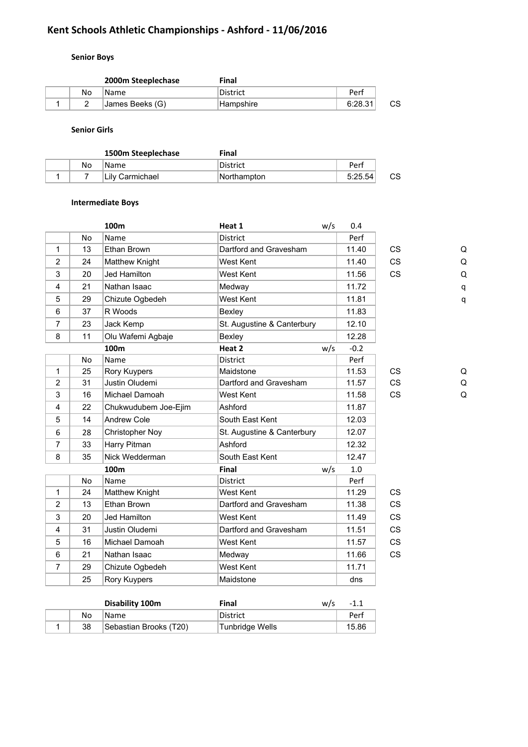# **Kent Schools Athletic Championships - Ashford - 11/06/2016**

## **Senior Boys**

|  |    | 2000m Steeplechase | Final     |         |    |
|--|----|--------------------|-----------|---------|----|
|  | No | <b>Name</b>        | District  | Perf    |    |
|  |    | James Beeks (G)    | Hampshire | 6:28.31 | СS |

**Senior Girls**

|  |    | 1500m Steeplechase | Final       |         |    |
|--|----|--------------------|-------------|---------|----|
|  | No | Name               | District    | Perf    |    |
|  |    | ∣Lilv Carmichael   | Northampton | 5:25.54 | СS |

#### **Intermediate Boys**

|                |           | 100m                   | Heat 1                     | w/s | 0.4    |           |   |
|----------------|-----------|------------------------|----------------------------|-----|--------|-----------|---|
|                | No        | Name                   | <b>District</b>            |     | Perf   |           |   |
| $\mathbf 1$    | 13        | Ethan Brown            | Dartford and Gravesham     |     | 11.40  | <b>CS</b> | Q |
| $\overline{2}$ | 24        | Matthew Knight         | West Kent                  |     | 11.40  | <b>CS</b> | Q |
| 3              | 20        | <b>Jed Hamilton</b>    | West Kent                  |     | 11.56  | CS        | Q |
| 4              | 21        | Nathan Isaac           | Medway                     |     | 11.72  |           | q |
| 5              | 29        | Chizute Ogbedeh        | West Kent                  |     | 11.81  |           | q |
| 6              | 37        | R Woods                | Bexley                     |     | 11.83  |           |   |
| $\overline{7}$ | 23        | Jack Kemp              | St. Augustine & Canterbury |     | 12.10  |           |   |
| 8              | 11        | Olu Wafemi Agbaje      | Bexley                     |     | 12.28  |           |   |
|                |           | 100m                   | Heat 2                     | w/s | $-0.2$ |           |   |
|                | No        | Name                   | <b>District</b>            |     | Perf   |           |   |
| 1              | 25        | Rory Kuypers           | Maidstone                  |     | 11.53  | <b>CS</b> | Q |
| $\overline{2}$ | 31        | Justin Oludemi         | Dartford and Gravesham     |     | 11.57  | <b>CS</b> | Q |
| 3              | 16        | Michael Damoah         | West Kent                  |     | 11.58  | CS        | Q |
| $\overline{4}$ | 22        | Chukwudubem Joe-Ejim   | Ashford                    |     | 11.87  |           |   |
| 5              | 14        | <b>Andrew Cole</b>     | South East Kent            |     | 12.03  |           |   |
| 6              | 28        | <b>Christopher Noy</b> | St. Augustine & Canterbury |     | 12.07  |           |   |
| $\overline{7}$ | 33        | Harry Pitman           | Ashford                    |     | 12.32  |           |   |
| 8              | 35        | Nick Wedderman         | South East Kent            |     | 12.47  |           |   |
|                |           | 100m                   | Final                      | w/s | 1.0    |           |   |
|                | <b>No</b> | Name                   | <b>District</b>            |     | Perf   |           |   |
| 1              | 24        | Matthew Knight         | West Kent                  |     | 11.29  | <b>CS</b> |   |
| $\overline{2}$ | 13        | Ethan Brown            | Dartford and Gravesham     |     | 11.38  | CS        |   |
| 3              | 20        | <b>Jed Hamilton</b>    | <b>West Kent</b>           |     | 11.49  | <b>CS</b> |   |
| $\overline{4}$ | 31        | Justin Oludemi         | Dartford and Gravesham     |     | 11.51  | <b>CS</b> |   |
| 5              | 16        | Michael Damoah         | West Kent                  |     | 11.57  | <b>CS</b> |   |
| 6              | 21        | Nathan Isaac           | Medway                     |     | 11.66  | CS        |   |
| $\overline{7}$ | 29        | Chizute Ogbedeh        | West Kent                  |     | 11.71  |           |   |
|                | 25        | Rory Kuypers           | Maidstone                  |     | dns    |           |   |
|                |           |                        |                            |     |        |           |   |

|    | Disability 100m        | Final           | w/s | $-1.1$ |
|----|------------------------|-----------------|-----|--------|
| No | 'Name                  | District        |     | Perf   |
| 38 | Sebastian Brooks (T20) | Tunbridge Wells |     | 15.86  |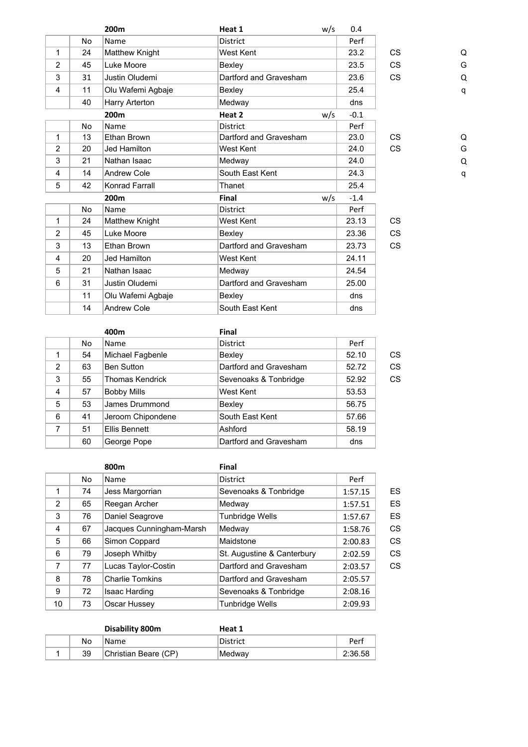|                |           | 200 <sub>m</sub>      | Heat 1                 | w/s | 0.4    |           |   |
|----------------|-----------|-----------------------|------------------------|-----|--------|-----------|---|
|                | No        | Name                  | <b>District</b>        |     | Perf   |           |   |
| 1              | 24        | Matthew Knight        | West Kent              |     | 23.2   | <b>CS</b> | Q |
| $\overline{2}$ | 45        | Luke Moore            | Bexley                 |     | 23.5   | <b>CS</b> | G |
| 3              | 31        | Justin Oludemi        | Dartford and Gravesham |     | 23.6   | <b>CS</b> | Q |
| 4              | 11        | Olu Wafemi Agbaje     | Bexley                 |     | 25.4   |           | q |
|                | 40        | Harry Arterton        | Medway                 |     | dns    |           |   |
|                |           | 200m                  | Heat 2                 | w/s | $-0.1$ |           |   |
|                | No        | Name                  | <b>District</b>        |     | Perf   |           |   |
| 1              | 13        | Ethan Brown           | Dartford and Gravesham |     | 23.0   | <b>CS</b> | Q |
| $\overline{2}$ | 20        | Jed Hamilton          | West Kent              |     | 24.0   | <b>CS</b> | G |
| 3              | 21        | Nathan Isaac          | Medway                 |     | 24.0   |           | Q |
| 4              | 14        | Andrew Cole           | South East Kent        |     | 24.3   |           | q |
| 5              | 42        | Konrad Farrall        | Thanet                 |     | 25.4   |           |   |
|                |           | 200m                  | Final                  | w/s | $-1.4$ |           |   |
|                | <b>No</b> | Name                  | <b>District</b>        |     | Perf   |           |   |
| 1              | 24        | <b>Matthew Knight</b> | West Kent              |     | 23.13  | <b>CS</b> |   |
| $\overline{2}$ | 45        | Luke Moore            | Bexley                 |     | 23.36  | <b>CS</b> |   |
| 3              | 13        | Ethan Brown           | Dartford and Gravesham |     | 23.73  | CS        |   |
| 4              | 20        | Jed Hamilton          | West Kent              |     | 24.11  |           |   |
| 5              | 21        | Nathan Isaac          | Medway                 |     | 24.54  |           |   |
| 6              | 31        | Justin Oludemi        | Dartford and Gravesham |     | 25.00  |           |   |
|                | 11        | Olu Wafemi Agbaje     | Bexley                 |     | dns    |           |   |
|                | 14        | <b>Andrew Cole</b>    | South East Kent        |     | dns    |           |   |

**400m Final** No Name District Perf 1 54 Michael Fagbenle Bexley 52.10 CS 2 63 Ben Sutton Dartford and Gravesham 52.72 CS 3 55 Thomas Kendrick Sevenoaks & Tonbridge 52.92 CS 4 57 Bobby Mills West Kent 53.53 5 53 James Drummond Bexley 56.75 6 41 Jeroom Chipondene South East Kent 57.66 7 51 Ellis Bennett Ashford 58.19 60 George Pope Dartford and Gravesham dns

|    |    | 800m                     | Final                      |         |           |
|----|----|--------------------------|----------------------------|---------|-----------|
|    | No | Name                     | <b>District</b>            | Perf    |           |
| 1  | 74 | Jess Margorrian          | Sevenoaks & Tonbridge      | 1:57.15 | ES        |
| 2  | 65 | Reegan Archer            | Medway                     | 1:57.51 | ES        |
| 3  | 76 | Daniel Seagrove          | <b>Tunbridge Wells</b>     | 1:57.67 | ES        |
| 4  | 67 | Jacques Cunningham-Marsh | Medway                     | 1:58.76 | CS        |
| 5  | 66 | Simon Coppard            | Maidstone                  | 2:00.83 | CS        |
| 6  | 79 | Joseph Whitby            | St. Augustine & Canterbury | 2:02.59 | <b>CS</b> |
| 7  | 77 | Lucas Taylor-Costin      | Dartford and Gravesham     | 2:03.57 | CS        |
| 8  | 78 | <b>Charlie Tomkins</b>   | Dartford and Gravesham     | 2:05.57 |           |
| 9  | 72 | <b>Isaac Harding</b>     | Sevenoaks & Tonbridge      | 2:08.16 |           |
| 10 | 73 | Oscar Hussey             | <b>Tunbridge Wells</b>     | 2:09.93 |           |

|    | Disability 800m      | Heat 1          |         |
|----|----------------------|-----------------|---------|
| No | 'Name                | <b>District</b> | Perf    |
| 39 | Christian Beare (CP) | ∣Medwav         | 2:36.58 |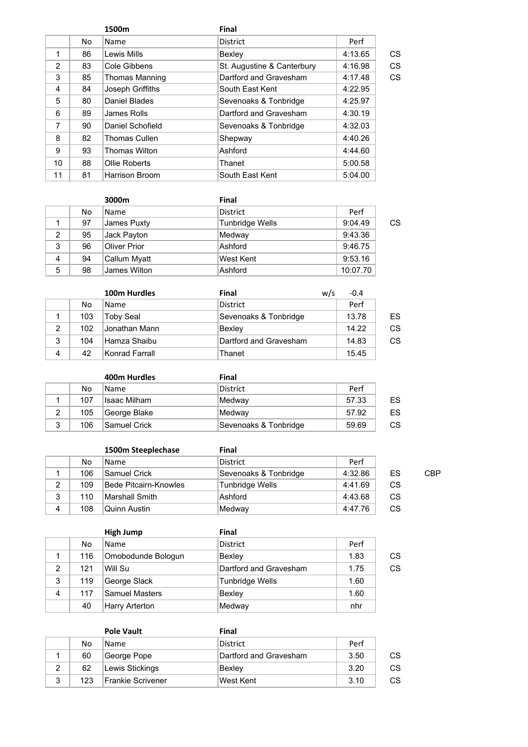|                |    | 1500m                 | <b>Final</b>               |         |    |
|----------------|----|-----------------------|----------------------------|---------|----|
|                | No | Name                  | <b>District</b>            | Perf    |    |
| 1              | 86 | Lewis Mills           | Bexley                     | 4:13.65 | CS |
| $\overline{2}$ | 83 | Cole Gibbens          | St. Augustine & Canterbury | 4:16.98 | CS |
| 3              | 85 | <b>Thomas Manning</b> | Dartford and Gravesham     | 4:17.48 | CS |
| 4              | 84 | Joseph Griffiths      | South East Kent            | 4:22.95 |    |
| 5              | 80 | Daniel Blades         | Sevenoaks & Tonbridge      | 4:25.97 |    |
| 6              | 89 | James Rolls           | Dartford and Gravesham     | 4:30.19 |    |
| 7              | 90 | Daniel Schofield      | Sevenoaks & Tonbridge      | 4:32.03 |    |
| 8              | 82 | <b>Thomas Cullen</b>  | Shepway                    | 4:40.26 |    |
| 9              | 93 | <b>Thomas Wilton</b>  | Ashford                    | 4:44.60 |    |
| 10             | 88 | Ollie Roberts         | Thanet                     | 5:00.58 |    |
| 11             | 81 | Harrison Broom        | South East Kent            | 5:04.00 |    |

|   |     | 3000m               | Final           |          |    |
|---|-----|---------------------|-----------------|----------|----|
|   | No. | <b>Name</b>         | <b>District</b> | Perf     |    |
|   | 97  | James Puxty         | Tunbridge Wells | 9:04.49  | CS |
| 2 | 95  | Jack Payton         | Medway          | 9:43.36  |    |
| 3 | 96  | <b>Oliver Prior</b> | Ashford         | 9:46.75  |    |
| 4 | 94  | Callum Myatt        | West Kent       | 9:53.16  |    |
| 5 | 98  | James Wilton        | Ashford         | 10:07.70 |    |

|                |     | 100m Hurdles     | Final                  | w/s | $-0.4$ |    |
|----------------|-----|------------------|------------------------|-----|--------|----|
|                | No  | <b>Name</b>      | <b>District</b>        |     | Perf   |    |
|                | 103 | <b>Toby Seal</b> | Sevenoaks & Tonbridge  |     | 13.78  | ES |
| $\overline{2}$ | 102 | Jonathan Mann    | Bexley                 |     | 14.22  | CS |
| 3              | 104 | Hamza Shaibu     | Dartford and Gravesham |     | 14.83  | CS |
| 4              | 42  | Konrad Farrall   | Thanet                 |     | 15.45  |    |

|   |     | 400m Hurdles | Final                 |       |    |
|---|-----|--------------|-----------------------|-------|----|
|   | No  | <b>Name</b>  | District              | Perf  |    |
|   | 107 | Isaac Milham | Medway                | 57.33 | ES |
| 2 | 105 | George Blake | Medway                | 57.92 | ES |
| 3 | 106 | Samuel Crick | Sevenoaks & Tonbridge | 59.69 | СS |

|   |     | 1500m Steeplechase    | Final                  |         |    |     |
|---|-----|-----------------------|------------------------|---------|----|-----|
|   | No  | Name                  | District               | Perf    |    |     |
|   | 106 | Samuel Crick          | Sevenoaks & Tonbridge  | 4:32.86 | ES | CBP |
| 2 | 109 | Bede Pitcairn-Knowles | <b>Tunbridge Wells</b> | 4:41.69 | CS |     |
| 3 | 110 | Marshall Smith        | Ashford                | 4:43.68 | CS |     |
| 4 | 108 | Quinn Austin          | Medway                 | 4:47.76 | СS |     |

|                |     | <b>High Jump</b>      | Final                  |      |    |
|----------------|-----|-----------------------|------------------------|------|----|
|                | No  | Name                  | <b>District</b>        | Perf |    |
|                | 116 | Omobodunde Bologun    | Bexley                 | 1.83 | СS |
| $\overline{2}$ | 121 | Will Su               | Dartford and Gravesham | 1.75 | СS |
| 3              | 119 | George Slack          | Tunbridge Wells        | 1.60 |    |
| 4              | 117 | <b>Samuel Masters</b> | Bexley                 | 1.60 |    |
|                | 40  | <b>Harry Arterton</b> | Medway                 | nhr  |    |

|   |     | <b>Pole Vault</b> | Final                  |      |    |
|---|-----|-------------------|------------------------|------|----|
|   | No  | <b>Name</b>       | District               | Perf |    |
|   | 60  | George Pope       | Dartford and Gravesham | 3.50 | СS |
| 2 | 62  | Lewis Stickings   | Bexlev                 | 3.20 | СS |
| 3 | 123 | Frankie Scrivener | West Kent              | 3.10 | СS |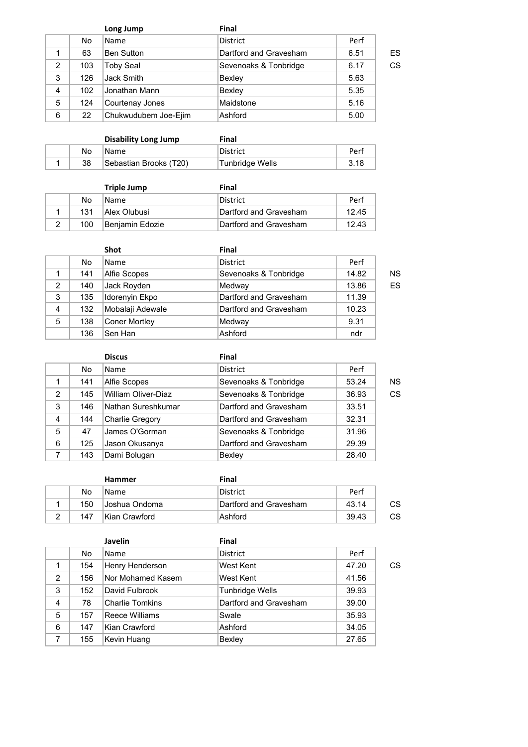|                |     | Long Jump            | Final                  |      |    |
|----------------|-----|----------------------|------------------------|------|----|
|                | No  | Name                 | <b>District</b>        | Perf |    |
|                | 63  | <b>Ben Sutton</b>    | Dartford and Gravesham | 6.51 | ES |
| $\overline{2}$ | 103 | <b>Toby Seal</b>     | Sevenoaks & Tonbridge  | 6.17 | CS |
| 3              | 126 | Jack Smith           | Bexley                 | 5.63 |    |
| $\overline{4}$ | 102 | Jonathan Mann        | Bexley                 | 5.35 |    |
| 5              | 124 | Courtenay Jones      | Maidstone              | 5.16 |    |
| 6              | 22  | Chukwudubem Joe-Ejim | Ashford                | 5.00 |    |

|    | Disability Long Jump   | Final           |      |
|----|------------------------|-----------------|------|
| No | Name                   | District        | Perf |
| 38 | Sebastian Brooks (T20) | Tunbridge Wells | 3.18 |

|     | <b>Triple Jump</b> | Final                  |       |
|-----|--------------------|------------------------|-------|
| No  | Name               | District               | Perf  |
| 131 | Allex Olubusi      | Dartford and Gravesham | 12.45 |
| 100 | Benjamin Edozie    | Dartford and Gravesham | 12.43 |

|   |     | <b>Shot</b>      | Final                  |       |    |
|---|-----|------------------|------------------------|-------|----|
|   | No  | Name             | <b>District</b>        | Perf  |    |
|   | 141 | Alfie Scopes     | Sevenoaks & Tonbridge  | 14.82 | ΝS |
| 2 | 140 | Jack Royden      | Medway                 | 13.86 | ES |
| 3 | 135 | Idorenyin Ekpo   | Dartford and Gravesham | 11.39 |    |
| 4 | 132 | Mobalaji Adewale | Dartford and Gravesham | 10.23 |    |
| 5 | 138 | Coner Mortley    | Medway                 | 9.31  |    |
|   | 136 | Sen Han          | Ashford                | ndr   |    |

|   |     | <b>Discus</b>          | <b>Final</b>           |       |    |
|---|-----|------------------------|------------------------|-------|----|
|   | No. | <b>Name</b>            | <b>District</b>        | Perf  |    |
|   | 141 | Alfie Scopes           | Sevenoaks & Tonbridge  | 53.24 | ΝS |
| 2 | 145 | William Oliver-Diaz    | Sevenoaks & Tonbridge  | 36.93 | CS |
| 3 | 146 | Nathan Sureshkumar     | Dartford and Gravesham | 33.51 |    |
| 4 | 144 | <b>Charlie Gregory</b> | Dartford and Gravesham | 32.31 |    |
| 5 | 47  | James O'Gorman         | Sevenoaks & Tonbridge  | 31.96 |    |
| 6 | 125 | Jason Okusanya         | Dartford and Gravesham | 29.39 |    |
| 7 | 143 | Dami Bolugan           | Bexley                 | 28.40 |    |

|     | <b>Hammer</b>   | Final                  |       |    |
|-----|-----------------|------------------------|-------|----|
| No  | Name            | District               | Perf  |    |
| 150 | ∣Joshua Ondoma  | Dartford and Gravesham | 43.14 | СS |
| 147 | lKian Crawford. | Ashford                | 39.43 | СS |

|   |     | Javelin                | Final                  |       |    |
|---|-----|------------------------|------------------------|-------|----|
|   | No. | <b>Name</b>            | <b>District</b>        | Perf  |    |
| 1 | 154 | Henry Henderson        | West Kent              | 47.20 | СS |
| 2 | 156 | Nor Mohamed Kasem      | West Kent              | 41.56 |    |
| 3 | 152 | David Fulbrook         | Tunbridge Wells        | 39.93 |    |
| 4 | 78  | <b>Charlie Tomkins</b> | Dartford and Gravesham | 39.00 |    |
| 5 | 157 | Reece Williams         | Swale                  | 35.93 |    |
| 6 | 147 | Kian Crawford          | Ashford                | 34.05 |    |
| 7 | 155 | Kevin Huang            | Bexley                 | 27.65 |    |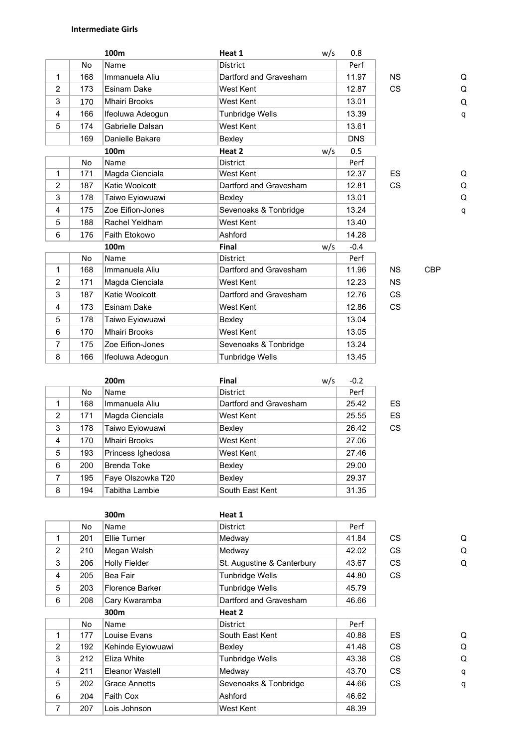### **Intermediate Girls**

|                |           | 100m                 | Heat 1                 | w/s | 0.8        |           |            |   |
|----------------|-----------|----------------------|------------------------|-----|------------|-----------|------------|---|
|                | No        | Name                 | <b>District</b>        |     | Perf       |           |            |   |
| $\mathbf{1}$   | 168       | Immanuela Aliu       | Dartford and Gravesham |     | 11.97      | <b>NS</b> |            | Q |
| 2              | 173       | <b>Esinam Dake</b>   | West Kent              |     | 12.87      | <b>CS</b> |            | Q |
| 3              | 170       | <b>Mhairi Brooks</b> | West Kent              |     | 13.01      |           |            | Q |
| 4              | 166       | Ifeoluwa Adeogun     | Tunbridge Wells        |     | 13.39      |           |            | q |
| 5              | 174       | Gabrielle Dalsan     | West Kent              |     | 13.61      |           |            |   |
|                | 169       | Danielle Bakare      | Bexley                 |     | <b>DNS</b> |           |            |   |
|                |           | 100m                 | Heat 2                 | w/s | 0.5        |           |            |   |
|                | <b>No</b> | Name                 | <b>District</b>        |     | Perf       |           |            |   |
| $\mathbf{1}$   | 171       | Magda Cienciala      | West Kent              |     | 12.37      | <b>ES</b> |            | Q |
| $\overline{c}$ | 187       | Katie Woolcott       | Dartford and Gravesham |     | 12.81      | CS        |            | Q |
| 3              | 178       | Taiwo Eyiowuawi      | Bexley                 |     | 13.01      |           |            | Q |
| 4              | 175       | Zoe Eifion-Jones     | Sevenoaks & Tonbridge  |     | 13.24      |           |            | q |
| 5              | 188       | Rachel Yeldham       | West Kent              |     | 13.40      |           |            |   |
| 6              | 176       | Faith Etokowo        | Ashford                |     | 14.28      |           |            |   |
|                |           | 100m                 | <b>Final</b>           | w/s | $-0.4$     |           |            |   |
|                | <b>No</b> | Name                 | <b>District</b>        |     | Perf       |           |            |   |
| $\mathbf{1}$   | 168       | Immanuela Aliu       | Dartford and Gravesham |     | 11.96      | <b>NS</b> | <b>CBP</b> |   |
| 2              | 171       | Magda Cienciala      | West Kent              |     | 12.23      | <b>NS</b> |            |   |
| 3              | 187       | Katie Woolcott       | Dartford and Gravesham |     | 12.76      | <b>CS</b> |            |   |
| 4              | 173       | <b>Esinam Dake</b>   | West Kent              |     | 12.86      | <b>CS</b> |            |   |
| 5              | 178       | Taiwo Eyiowuawi      | Bexley                 |     | 13.04      |           |            |   |
| 6              | 170       | <b>Mhairi Brooks</b> | West Kent              |     | 13.05      |           |            |   |
| $\overline{7}$ | 175       | Zoe Eifion-Jones     | Sevenoaks & Tonbridge  |     | 13.24      |           |            |   |
| 8              | 166       | Ifeoluwa Adeogun     | Tunbridge Wells        |     | 13.45      |           |            |   |

|                |     | 200 <sub>m</sub>  | <b>Final</b>           | w/s | $-0.2$ |    |
|----------------|-----|-------------------|------------------------|-----|--------|----|
|                | No  | Name              | District               |     | Perf   |    |
| 1              | 168 | Immanuela Aliu    | Dartford and Gravesham |     | 25.42  | ES |
| $\overline{2}$ | 171 | Magda Cienciala   | West Kent              |     | 25.55  | ES |
| 3              | 178 | Taiwo Eyiowuawi   | Bexley                 |     | 26.42  | CS |
| $\overline{4}$ | 170 | Mhairi Brooks     | West Kent              |     | 27.06  |    |
| 5              | 193 | Princess Ighedosa | West Kent              |     | 27.46  |    |
| 6              | 200 | Brenda Toke       | Bexley                 |     | 29.00  |    |
| 7              | 195 | Faye Olszowka T20 | Bexley                 |     | 29.37  |    |
| 8              | 194 | Tabitha Lambie    | South East Kent        |     | 31.35  |    |

|                |     | 300m                 | Heat 1                     |       |           |   |
|----------------|-----|----------------------|----------------------------|-------|-----------|---|
|                | No  | Name                 | <b>District</b>            | Perf  |           |   |
| 1              | 201 | Ellie Turner         | Medway                     | 41.84 | CS.       | Q |
| $\overline{2}$ | 210 | Megan Walsh          | Medway                     | 42.02 | <b>CS</b> | Q |
| 3              | 206 | Holly Fielder        | St. Augustine & Canterbury | 43.67 | <b>CS</b> | Q |
| 4              | 205 | Bea Fair             | <b>Tunbridge Wells</b>     | 44.80 | <b>CS</b> |   |
| 5              | 203 | Florence Barker      | <b>Tunbridge Wells</b>     | 45.79 |           |   |
| 6              | 208 | Cary Kwaramba        | Dartford and Gravesham     | 46.66 |           |   |
|                |     | 300m                 | Heat 2                     |       |           |   |
|                | No  | Name                 | <b>District</b>            | Perf  |           |   |
| 1              | 177 | Louise Evans         | South East Kent            | 40.88 | <b>ES</b> | Q |
| $\overline{2}$ | 192 | Kehinde Eyiowuawi    | Bexley                     | 41.48 | <b>CS</b> | Q |
| 3              | 212 | Eliza White          | <b>Tunbridge Wells</b>     | 43.38 | <b>CS</b> | Q |
| 4              | 211 | Eleanor Wastell      | Medway                     | 43.70 | <b>CS</b> | q |
| 5              | 202 | <b>Grace Annetts</b> | Sevenoaks & Tonbridge      | 44.66 | <b>CS</b> | q |
| 6              | 204 | Faith Cox            | Ashford                    | 46.62 |           |   |
| 7              | 207 | Lois Johnson         | West Kent                  | 48.39 |           |   |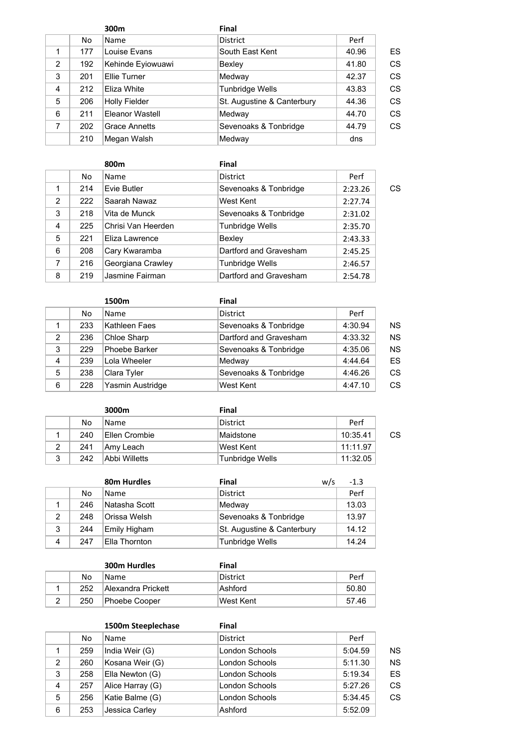|   |     | 300 <sub>m</sub>     | Final                      |       |    |
|---|-----|----------------------|----------------------------|-------|----|
|   | No  | Name                 | <b>District</b>            | Perf  |    |
|   | 177 | Louise Evans         | South East Kent            | 40.96 | ES |
| 2 | 192 | Kehinde Eyiowuawi    | Bexley                     | 41.80 | CS |
| 3 | 201 | Ellie Turner         | Medway                     | 42.37 | CS |
| 4 | 212 | Eliza White          | Tunbridge Wells            | 43.83 | CS |
| 5 | 206 | <b>Holly Fielder</b> | St. Augustine & Canterbury | 44.36 | CS |
| 6 | 211 | Eleanor Wastell      | Medway                     | 44.70 | CS |
| 7 | 202 | <b>Grace Annetts</b> | Sevenoaks & Tonbridge      | 44.79 | CS |
|   | 210 | Megan Walsh          | Medway                     | dns   |    |

|   |     | 800m               | Final                  |         |    |
|---|-----|--------------------|------------------------|---------|----|
|   | No. | Name               | <b>District</b>        | Perf    |    |
|   | 214 | Evie Butler        | Sevenoaks & Tonbridge  | 2:23.26 | CS |
| 2 | 222 | Saarah Nawaz       | West Kent              | 2:27.74 |    |
| 3 | 218 | Vita de Munck      | Sevenoaks & Tonbridge  | 2:31.02 |    |
| 4 | 225 | Chrisi Van Heerden | Tunbridge Wells        | 2:35.70 |    |
| 5 | 221 | Eliza Lawrence     | Bexley                 | 2:43.33 |    |
| 6 | 208 | Cary Kwaramba      | Dartford and Gravesham | 2:45.25 |    |
| 7 | 216 | Georgiana Crawley  | Tunbridge Wells        | 2:46.57 |    |
| 8 | 219 | Jasmine Fairman    | Dartford and Gravesham | 2:54.78 |    |

|   |     | 1500m            | <b>Final</b>           |         |           |
|---|-----|------------------|------------------------|---------|-----------|
|   | No  | Name             | <b>District</b>        | Perf    |           |
|   | 233 | Kathleen Faes    | Sevenoaks & Tonbridge  | 4:30.94 | NS.       |
| 2 | 236 | Chloe Sharp      | Dartford and Gravesham | 4:33.32 | <b>NS</b> |
| 3 | 229 | Phoebe Barker    | Sevenoaks & Tonbridge  | 4:35.06 | <b>NS</b> |
| 4 | 239 | Lola Wheeler     | Medway                 | 4:44.64 | ES.       |
| 5 | 238 | Clara Tyler      | Sevenoaks & Tonbridge  | 4:46.26 | CS.       |
| 6 | 228 | Yasmin Austridge | West Kent              | 4:47.10 | CS.       |

|   |     | 3000m         | Final                  |          |    |
|---|-----|---------------|------------------------|----------|----|
|   | No  | Name          | District               | Perf     |    |
|   | 240 | Ellen Crombie | Maidstone              | 10:35.41 | СS |
| 2 | 241 | Amy Leach     | West Kent              | 11:11.97 |    |
| 3 | 242 | Abbi Willetts | <b>Tunbridge Wells</b> | 11:32.05 |    |

|   |     | 80m Hurdles   | <b>Final</b>               | w/s | $-1.3$ |
|---|-----|---------------|----------------------------|-----|--------|
|   | No  | Name          | <b>District</b>            |     | Perf   |
|   | 246 | Natasha Scott | Medway                     |     | 13.03  |
| 2 | 248 | ∣Orissa Welsh | Sevenoaks & Tonbridge      |     | 13.97  |
| 3 | 244 | Emily Higham  | St. Augustine & Canterbury |     | 14.12  |
| 4 | 247 | Ella Thornton | <b>Tunbridge Wells</b>     |     | 14.24  |

|     | 300m Hurdles       | Final      |       |
|-----|--------------------|------------|-------|
| No  | <b>Name</b>        | District   | Perf  |
| 252 | Alexandra Prickett | Ashford    | 50.80 |
| 250 | Phoebe Cooper      | lWest Kent | 57.46 |

|   |     | 1500m Steeplechase | Final           |         |           |
|---|-----|--------------------|-----------------|---------|-----------|
|   | No  | <b>Name</b>        | <b>District</b> | Perf    |           |
| 1 | 259 | India Weir (G)     | London Schools  | 5:04.59 | <b>NS</b> |
| 2 | 260 | Kosana Weir (G)    | London Schools  | 5:11.30 | <b>NS</b> |
| 3 | 258 | Ella Newton (G)    | London Schools  | 5:19.34 | ES        |
| 4 | 257 | Alice Harray (G)   | London Schools  | 5:27.26 | CS        |
| 5 | 256 | Katie Balme (G)    | London Schools  | 5:34.45 | CS        |
| 6 | 253 | Jessica Carley     | Ashford         | 5:52.09 |           |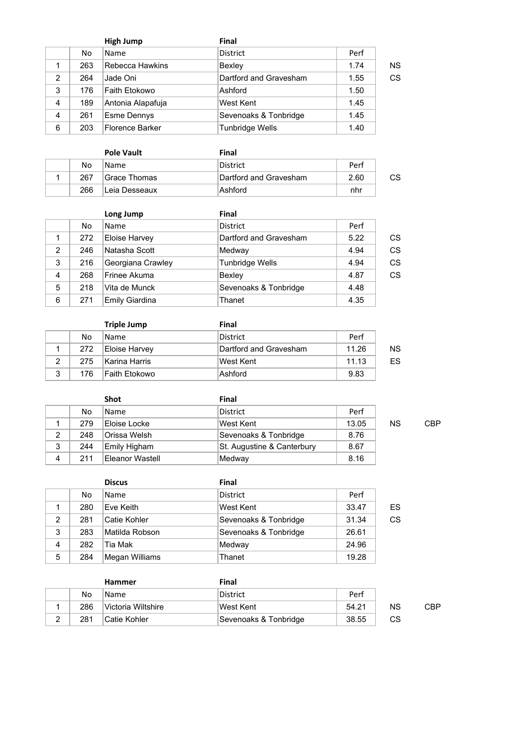|   |     | <b>High Jump</b>  | Final                  |      |           |
|---|-----|-------------------|------------------------|------|-----------|
|   | No  | Name              | <b>District</b>        | Perf |           |
|   | 263 | Rebecca Hawkins   | Bexley                 | 1.74 | <b>NS</b> |
| 2 | 264 | Jade Oni          | Dartford and Gravesham | 1.55 | CS        |
| 3 | 176 | Faith Etokowo     | Ashford                | 1.50 |           |
| 4 | 189 | Antonia Alapafuja | West Kent              | 1.45 |           |
| 4 | 261 | Esme Dennys       | Sevenoaks & Tonbridge  | 1.45 |           |
| 6 | 203 | Florence Barker   | <b>Tunbridge Wells</b> | 1.40 |           |

|  |     | <b>Pole Vault</b> | Final                  |      |    |
|--|-----|-------------------|------------------------|------|----|
|  | No  | <b>Name</b>       | District               | Perf |    |
|  | 267 | Grace Thomas      | Dartford and Gravesham | 2.60 | CS |
|  | 266 | ∣Leia Desseaux    | Ashford                | nhr  |    |

|                |     | Long Jump            | Final                  |      |           |
|----------------|-----|----------------------|------------------------|------|-----------|
|                | No  | <b>Name</b>          | <b>District</b>        | Perf |           |
| 1              | 272 | <b>Eloise Harvey</b> | Dartford and Gravesham | 5.22 | CS        |
| $\overline{2}$ | 246 | Natasha Scott        | Medway                 | 4.94 | <b>CS</b> |
| 3              | 216 | Georgiana Crawley    | Tunbridge Wells        | 4.94 | CS        |
| 4              | 268 | Frinee Akuma         | Bexley                 | 4.87 | <b>CS</b> |
| 5              | 218 | Vita de Munck        | Sevenoaks & Tonbridge  | 4.48 |           |
| 6              | 271 | Emily Giardina       | Thanet                 | 4.35 |           |

|   |     | <b>Triple Jump</b> | Final                  |       |    |
|---|-----|--------------------|------------------------|-------|----|
|   | No  | <b>Name</b>        | District               | Perf  |    |
|   | 272 | Eloise Harvey      | Dartford and Gravesham | 11.26 | ΝS |
| 2 | 275 | Karina Harris      | West Kent              | 11.13 | ES |
| 3 | 176 | lFaith Etokowo     | Ashford                | 9.83  |    |

|   |     | <b>Shot</b>     | Final                      |       |           |     |
|---|-----|-----------------|----------------------------|-------|-----------|-----|
|   | No. | <b>Name</b>     | District                   | Perf  |           |     |
|   | 279 | Eloise Locke    | West Kent                  | 13.05 | <b>NS</b> | CBP |
| 2 | 248 | Orissa Welsh    | Sevenoaks & Tonbridge      | 8.76  |           |     |
| 3 | 244 | Emily Higham    | St. Augustine & Canterbury | 8.67  |           |     |
| 4 | 211 | Eleanor Wastell | Medway                     | 8.16  |           |     |

|   |     | <b>Discus</b>  | Final                 |       |    |
|---|-----|----------------|-----------------------|-------|----|
|   | No. | <b>Name</b>    | <b>District</b>       | Perf  |    |
|   | 280 | Eve Keith      | West Kent             | 33.47 | ES |
| 2 | 281 | Catie Kohler   | Sevenoaks & Tonbridge | 31.34 | CS |
| 3 | 283 | Matilda Robson | Sevenoaks & Tonbridge | 26.61 |    |
| 4 | 282 | Tia Mak        | Medway                | 24.96 |    |
| 5 | 284 | Megan Williams | Thanet                | 19.28 |    |

|   |     | <b>Hammer</b>       | Final                 |       |           |     |  |
|---|-----|---------------------|-----------------------|-------|-----------|-----|--|
|   | No  | Name                | District              | Perf  |           |     |  |
|   | 286 | ⊺Victoria Wiltshire | ∣West Kent            | 54.21 | <b>NS</b> | CBP |  |
| ◠ | 281 | Catie Kohler        | Sevenoaks & Tonbridge | 38.55 | СS        |     |  |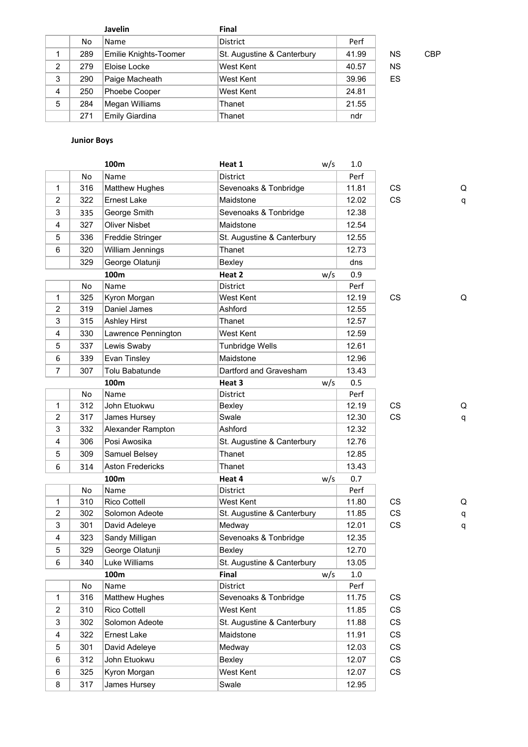|   | No  | <b>Name</b>           | <b>District</b>            | Perf  |           |     |
|---|-----|-----------------------|----------------------------|-------|-----------|-----|
| 1 | 289 | Emilie Knights-Toomer | St. Augustine & Canterbury | 41.99 | <b>NS</b> | CBP |
| 2 | 279 | Eloise Locke          | West Kent                  | 40.57 | <b>NS</b> |     |
| 3 | 290 | Paige Macheath        | West Kent                  | 39.96 | ES        |     |
| 4 | 250 | Phoebe Cooper         | West Kent                  | 24.81 |           |     |
| 5 | 284 | Megan Williams        | Thanet                     | 21.55 |           |     |
|   | 271 | Emily Giardina        | Thanet                     | ndr   |           |     |

## **Junior Boys**

|                |           | 100m                    | Heat 1                     | w/s | 1.0   |                        |   |
|----------------|-----------|-------------------------|----------------------------|-----|-------|------------------------|---|
|                | No        | Name                    | District                   |     | Perf  |                        |   |
| 1              | 316       | <b>Matthew Hughes</b>   | Sevenoaks & Tonbridge      |     | 11.81 | CS                     | Q |
| $\overline{2}$ | 322       | <b>Ernest Lake</b>      | Maidstone                  |     | 12.02 | CS                     | q |
| 3              | 335       | George Smith            | Sevenoaks & Tonbridge      |     | 12.38 |                        |   |
| 4              | 327       | Oliver Nisbet           | Maidstone                  |     | 12.54 |                        |   |
| 5              | 336       | Freddie Stringer        | St. Augustine & Canterbury |     | 12.55 |                        |   |
| 6              | 320       | William Jennings        | Thanet                     |     | 12.73 |                        |   |
|                | 329       | George Olatunji         | Bexley                     |     | dns   |                        |   |
|                |           | 100 <sub>m</sub>        | Heat 2                     | w/s | 0.9   |                        |   |
|                | <b>No</b> | Name                    | District                   |     | Perf  |                        |   |
| 1              | 325       | Kyron Morgan            | West Kent                  |     | 12.19 | CS                     | Q |
| 2              | 319       | Daniel James            | Ashford                    |     | 12.55 |                        |   |
| 3              | 315       | <b>Ashley Hirst</b>     | Thanet                     |     | 12.57 |                        |   |
| 4              | 330       | Lawrence Pennington     | West Kent                  |     | 12.59 |                        |   |
| 5              | 337       | Lewis Swaby             | <b>Tunbridge Wells</b>     |     | 12.61 |                        |   |
| 6              | 339       | Evan Tinsley            | Maidstone                  |     | 12.96 |                        |   |
| 7              | 307       | Tolu Babatunde          | Dartford and Gravesham     |     | 13.43 |                        |   |
|                |           | 100m                    | Heat 3                     | w/s | 0.5   |                        |   |
|                | No        | Name                    | District                   |     | Perf  |                        |   |
| 1              | 312       | John Etuokwu            | Bexley                     |     | 12.19 | <b>CS</b>              | Q |
| 2              | 317       | James Hursey            | Swale                      |     | 12.30 | CS                     | q |
| 3              | 332       | Alexander Rampton       | Ashford                    |     | 12.32 |                        |   |
| 4              | 306       | Posi Awosika            | St. Augustine & Canterbury |     | 12.76 |                        |   |
| 5              | 309       | Samuel Belsey           | Thanet                     |     | 12.85 |                        |   |
| 6              | 314       | <b>Aston Fredericks</b> | Thanet                     |     | 13.43 |                        |   |
|                |           | 100m                    | Heat 4                     | w/s | 0.7   |                        |   |
|                | No        | Name                    | District                   |     | Perf  |                        |   |
| 1              | 310       | <b>Rico Cottell</b>     | West Kent                  |     | 11.80 | <b>CS</b>              | Q |
| 2              | 302       | Solomon Adeote          | St. Augustine & Canterbury |     | 11.85 | <b>CS</b>              | q |
| 3              | 301       | David Adeleye           | Medway                     |     | 12.01 | CS                     | q |
| 4              | 323       | Sandy Milligan          | Sevenoaks & Tonbridge      |     | 12.35 |                        |   |
| 5              | 329       | George Olatunji         | Bexley                     |     | 12.70 |                        |   |
| 6              | 340       | Luke Williams           | St. Augustine & Canterbury |     | 13.05 |                        |   |
|                |           | 100m                    | Final                      | w/s | 1.0   |                        |   |
|                | No        | Name                    | District                   |     | Perf  |                        |   |
| 1              | 316       | <b>Matthew Hughes</b>   | Sevenoaks & Tonbridge      |     | 11.75 | CS                     |   |
| 2              | 310       | Rico Cottell            | West Kent                  |     | 11.85 | CS                     |   |
| 3              | 302       | Solomon Adeote          | St. Augustine & Canterbury |     | 11.88 | CS                     |   |
| 4              | 322       | Ernest Lake             | Maidstone                  |     | 11.91 | CS                     |   |
| 5              | 301       | David Adeleye           | Medway                     |     | 12.03 | CS                     |   |
| 6              | 312       | John Etuokwu            | Bexley                     |     | 12.07 | CS                     |   |
| 6              | 325       | Kyron Morgan            | West Kent                  |     | 12.07 | $\mathbb{C}\mathbb{S}$ |   |
| 8              | 317       | James Hursey            | Swale                      |     | 12.95 |                        |   |
|                |           |                         |                            |     |       |                        |   |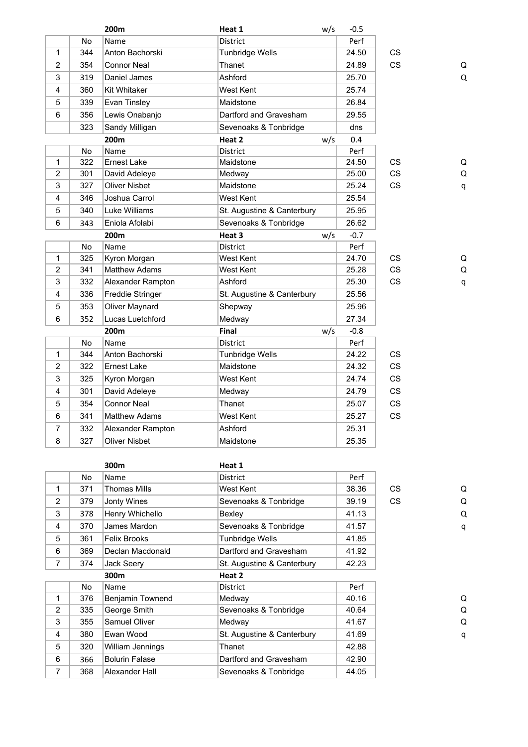|                |     | 200m                 | Heat 1                     | w/s | $-0.5$ |           |   |
|----------------|-----|----------------------|----------------------------|-----|--------|-----------|---|
|                | No  | Name                 | District                   |     | Perf   |           |   |
| $\mathbf{1}$   | 344 | Anton Bachorski      | <b>Tunbridge Wells</b>     |     | 24.50  | <b>CS</b> |   |
| $\overline{2}$ | 354 | Connor Neal          | Thanet                     |     | 24.89  | <b>CS</b> | Q |
| 3              | 319 | Daniel James         | Ashford                    |     | 25.70  |           | Q |
| 4              | 360 | Kit Whitaker         | West Kent                  |     | 25.74  |           |   |
| 5              | 339 | Evan Tinsley         | Maidstone                  |     | 26.84  |           |   |
| 6              | 356 | Lewis Onabanjo       | Dartford and Gravesham     |     | 29.55  |           |   |
|                | 323 | Sandy Milligan       | Sevenoaks & Tonbridge      |     | dns    |           |   |
|                |     | 200m                 | Heat 2                     | w/s | 0.4    |           |   |
|                | No  | Name                 | District                   |     | Perf   |           |   |
| $\mathbf{1}$   | 322 | <b>Ernest Lake</b>   | Maidstone                  |     | 24.50  | CS        | Q |
| 2              | 301 | David Adeleye        | Medway                     |     | 25.00  | CS        | Q |
| 3              | 327 | <b>Oliver Nisbet</b> | Maidstone                  |     | 25.24  | <b>CS</b> | q |
| 4              | 346 | Joshua Carrol        | <b>West Kent</b>           |     | 25.54  |           |   |
| 5              | 340 | Luke Williams        | St. Augustine & Canterbury |     | 25.95  |           |   |
| 6              | 343 | Eniola Afolabi       | Sevenoaks & Tonbridge      |     | 26.62  |           |   |
|                |     | 200m                 | Heat 3                     | w/s | $-0.7$ |           |   |
|                | No  | Name                 | <b>District</b>            |     | Perf   |           |   |
| $\mathbf{1}$   | 325 | Kyron Morgan         | <b>West Kent</b>           |     | 24.70  | <b>CS</b> | Q |
| $\overline{2}$ | 341 | Matthew Adams        | West Kent                  |     | 25.28  | CS        | Q |
| 3              | 332 | Alexander Rampton    | Ashford                    |     | 25.30  | <b>CS</b> | q |
| 4              | 336 | Freddie Stringer     | St. Augustine & Canterbury |     | 25.56  |           |   |
| 5              | 353 | Oliver Maynard       | Shepway                    |     | 25.96  |           |   |
| 6              | 352 | Lucas Luetchford     | Medway                     |     | 27.34  |           |   |
|                |     | 200m                 | Final                      | w/s | $-0.8$ |           |   |
|                | No  | Name                 | District                   |     | Perf   |           |   |
| $\mathbf{1}$   | 344 | Anton Bachorski      | <b>Tunbridge Wells</b>     |     | 24.22  | <b>CS</b> |   |
| $\overline{2}$ | 322 | <b>Ernest Lake</b>   | Maidstone                  |     | 24.32  | <b>CS</b> |   |
| 3              | 325 | Kyron Morgan         | West Kent                  |     | 24.74  | <b>CS</b> |   |
| 4              | 301 | David Adeleye        | Medway                     |     | 24.79  | <b>CS</b> |   |
| 5              | 354 | <b>Connor Neal</b>   | Thanet                     |     | 25.07  | <b>CS</b> |   |
| 6              | 341 | <b>Matthew Adams</b> | West Kent                  |     | 25.27  | <b>CS</b> |   |
| 7              | 332 | Alexander Rampton    | Ashford                    |     | 25.31  |           |   |
| 8              | 327 | <b>Oliver Nisbet</b> | Maidstone                  |     | 25.35  |           |   |
|                |     |                      |                            |     |        |           |   |

|   |     | 300m                  | Heat 1                     |       |           |   |
|---|-----|-----------------------|----------------------------|-------|-----------|---|
|   | No. | Name                  | <b>District</b>            | Perf  |           |   |
| 1 | 371 | Thomas Mills          | West Kent                  | 38.36 | CS.       | Q |
| 2 | 379 | Jonty Wines           | Sevenoaks & Tonbridge      | 39.19 | <b>CS</b> | Q |
| 3 | 378 | Henry Whichello       | Bexley                     | 41.13 |           | Q |
| 4 | 370 | James Mardon          | Sevenoaks & Tonbridge      | 41.57 |           | q |
| 5 | 361 | <b>Felix Brooks</b>   | Tunbridge Wells            | 41.85 |           |   |
| 6 | 369 | Declan Macdonald      | Dartford and Gravesham     | 41.92 |           |   |
| 7 | 374 | Jack Seery            | St. Augustine & Canterbury | 42.23 |           |   |
|   |     | 300m                  | Heat 2                     |       |           |   |
|   | No  | Name                  | <b>District</b>            | Perf  |           |   |
| 1 | 376 | Benjamin Townend      | Medway                     | 40.16 |           | Q |
| 2 | 335 | George Smith          | Sevenoaks & Tonbridge      | 40.64 |           | Q |
| 3 | 355 | Samuel Oliver         | Medway                     | 41.67 |           | Q |
| 4 | 380 | Ewan Wood             | St. Augustine & Canterbury | 41.69 |           | q |
| 5 | 320 | William Jennings      | Thanet                     | 42.88 |           |   |
| 6 | 366 | <b>Bolurin Falase</b> | Dartford and Gravesham     | 42.90 |           |   |
| 7 | 368 | Alexander Hall        | Sevenoaks & Tonbridge      | 44.05 |           |   |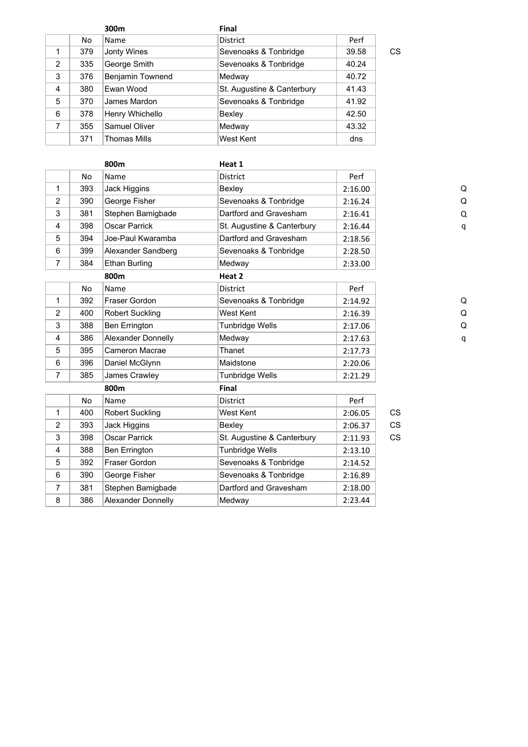|   |     | 300m                | <b>Final</b>               |       |    |
|---|-----|---------------------|----------------------------|-------|----|
|   | No. | Name                | <b>District</b>            | Perf  |    |
| 1 | 379 | Jonty Wines         | Sevenoaks & Tonbridge      | 39.58 | СS |
| 2 | 335 | George Smith        | Sevenoaks & Tonbridge      | 40.24 |    |
| 3 | 376 | Benjamin Townend    | Medway                     | 40.72 |    |
| 4 | 380 | Ewan Wood           | St. Augustine & Canterbury | 41.43 |    |
| 5 | 370 | James Mardon        | Sevenoaks & Tonbridge      | 41.92 |    |
| 6 | 378 | Henry Whichello     | Bexley                     | 42.50 |    |
| 7 | 355 | Samuel Oliver       | Medway                     | 43.32 |    |
|   | 371 | <b>Thomas Mills</b> | West Kent                  | dns   |    |

|                |           | 800m                   | Heat 1                     |         |           |   |
|----------------|-----------|------------------------|----------------------------|---------|-----------|---|
|                | <b>No</b> | Name                   | <b>District</b>            | Perf    |           |   |
| 1              | 393       | Jack Higgins           | Bexley                     | 2:16.00 |           | Q |
| 2              | 390       | George Fisher          | Sevenoaks & Tonbridge      | 2:16.24 |           | Q |
| 3              | 381       | Stephen Bamigbade      | Dartford and Gravesham     | 2:16.41 |           | Q |
| 4              | 398       | <b>Oscar Parrick</b>   | St. Augustine & Canterbury | 2:16.44 |           | q |
| 5              | 394       | Joe-Paul Kwaramba      | Dartford and Gravesham     | 2:18.56 |           |   |
| 6              | 399       | Alexander Sandberg     | Sevenoaks & Tonbridge      | 2:28.50 |           |   |
| 7              | 384       | <b>Ethan Burling</b>   | Medway                     | 2:33.00 |           |   |
|                |           | 800m                   | Heat 2                     |         |           |   |
|                | No        | Name                   | <b>District</b>            | Perf    |           |   |
| 1              | 392       | Fraser Gordon          | Sevenoaks & Tonbridge      | 2:14.92 |           | Q |
| $\overline{2}$ | 400       | <b>Robert Suckling</b> | West Kent                  | 2:16.39 |           | Q |
| 3              | 388       | <b>Ben Errington</b>   | <b>Tunbridge Wells</b>     | 2:17.06 |           | Q |
| 4              | 386       | Alexander Donnelly     | Medway                     | 2:17.63 |           | q |
| 5              | 395       | Cameron Macrae         | Thanet                     | 2:17.73 |           |   |
| 6              | 396       | Daniel McGlynn         | Maidstone                  | 2:20.06 |           |   |
| 7              | 385       | James Crawley          | <b>Tunbridge Wells</b>     | 2:21.29 |           |   |
|                |           | 800m                   | <b>Final</b>               |         |           |   |
|                | <b>No</b> | Name                   | <b>District</b>            | Perf    |           |   |
| 1              | 400       | <b>Robert Suckling</b> | West Kent                  | 2:06.05 | <b>CS</b> |   |
| $\overline{2}$ | 393       | Jack Higgins           | Bexley                     | 2:06.37 | CS        |   |
| 3              | 398       | <b>Oscar Parrick</b>   | St. Augustine & Canterbury | 2:11.93 | <b>CS</b> |   |
| 4              | 388       | Ben Errington          | <b>Tunbridge Wells</b>     | 2:13.10 |           |   |
| 5              | 392       | Fraser Gordon          | Sevenoaks & Tonbridge      | 2:14.52 |           |   |
| 6              | 390       | George Fisher          | Sevenoaks & Tonbridge      | 2:16.89 |           |   |
| $\overline{7}$ | 381       | Stephen Bamigbade      | Dartford and Gravesham     | 2:18.00 |           |   |
| 8              | 386       | Alexander Donnelly     | Medway                     | 2:23.44 |           |   |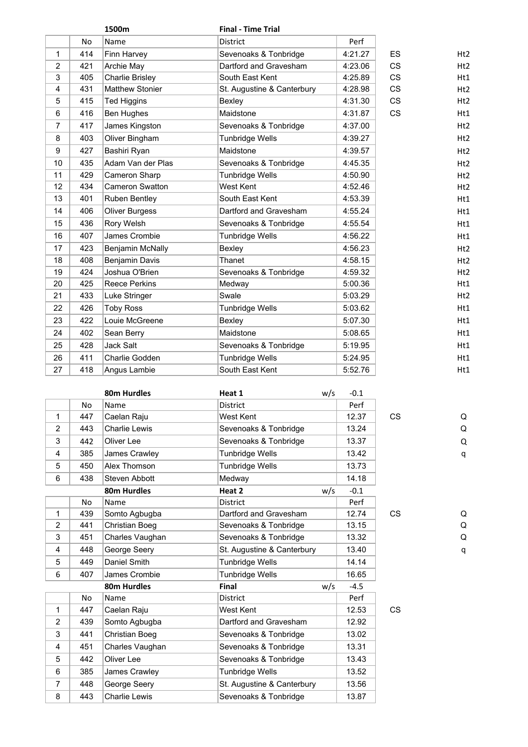|                |           | 1500m                  | <b>Final - Time Trial</b>  |         |           |                 |
|----------------|-----------|------------------------|----------------------------|---------|-----------|-----------------|
|                | <b>No</b> | Name                   | District                   | Perf    |           |                 |
| $\mathbf{1}$   | 414       | Finn Harvey            | Sevenoaks & Tonbridge      | 4:21.27 | <b>ES</b> | Ht2             |
| $\overline{2}$ | 421       | Archie May             | Dartford and Gravesham     | 4:23.06 | <b>CS</b> | Ht2             |
| 3              | 405       | Charlie Brisley        | South East Kent            | 4:25.89 | <b>CS</b> | Ht1             |
| $\overline{4}$ | 431       | <b>Matthew Stonier</b> | St. Augustine & Canterbury | 4:28.98 | <b>CS</b> | Ht2             |
| 5              | 415       | <b>Ted Higgins</b>     | Bexley                     | 4:31.30 | <b>CS</b> | H <sub>t2</sub> |
| 6              | 416       | Ben Hughes             | Maidstone                  | 4:31.87 | <b>CS</b> | Ht1             |
| $\overline{7}$ | 417       | James Kingston         | Sevenoaks & Tonbridge      | 4:37.00 |           | Ht2             |
| 8              | 403       | Oliver Bingham         | Tunbridge Wells            | 4:39.27 |           | H <sub>t2</sub> |
| 9              | 427       | Bashiri Ryan           | Maidstone                  | 4:39.57 |           | Ht2             |
| 10             | 435       | Adam Van der Plas      | Sevenoaks & Tonbridge      | 4:45.35 |           | Ht2             |
| 11             | 429       | Cameron Sharp          | <b>Tunbridge Wells</b>     | 4:50.90 |           | Ht2             |
| 12             | 434       | Cameron Swatton        | West Kent                  | 4:52.46 |           | H <sub>t2</sub> |
| 13             | 401       | Ruben Bentley          | South East Kent            | 4:53.39 |           | H <sub>t1</sub> |
| 14             | 406       | <b>Oliver Burgess</b>  | Dartford and Gravesham     | 4:55.24 |           | Ht1             |
| 15             | 436       | Rory Welsh             | Sevenoaks & Tonbridge      | 4:55.54 |           | Ht1             |
| 16             | 407       | James Crombie          | Tunbridge Wells            | 4:56.22 |           | H <sub>t1</sub> |
| 17             | 423       | Benjamin McNally       | Bexley                     | 4:56.23 |           | H <sub>t2</sub> |
| 18             | 408       | Benjamin Davis         | Thanet                     | 4:58.15 |           | H <sub>t2</sub> |
| 19             | 424       | Joshua O'Brien         | Sevenoaks & Tonbridge      | 4:59.32 |           | Ht2             |
| 20             | 425       | <b>Reece Perkins</b>   | Medway                     | 5:00.36 |           | Ht1             |
| 21             | 433       | Luke Stringer          | Swale                      | 5:03.29 |           | Ht2             |
| 22             | 426       | <b>Toby Ross</b>       | Tunbridge Wells            | 5:03.62 |           | Ht1             |
| 23             | 422       | Louie McGreene         | Bexley                     | 5:07.30 |           | Ht1             |
| 24             | 402       | Sean Berry             | Maidstone                  | 5:08.65 |           | Ht1             |
| 25             | 428       | Jack Salt              | Sevenoaks & Tonbridge      | 5:19.95 |           | Ht1             |
| 26             | 411       | Charlie Godden         | Tunbridge Wells            | 5:24.95 |           | Ht1             |
| 27             | 418       | Angus Lambie           | South East Kent            | 5:52.76 |           | Ht1             |
|                |           |                        |                            |         |           |                 |

|                |           | 80m Hurdles           | Heat 1                     | w/s | $-0.1$ |           |   |
|----------------|-----------|-----------------------|----------------------------|-----|--------|-----------|---|
|                | No        | Name                  | <b>District</b>            |     | Perf   |           |   |
| 1              | 447       | Caelan Raju           | West Kent                  |     | 12.37  | <b>CS</b> | Q |
| 2              | 443       | <b>Charlie Lewis</b>  | Sevenoaks & Tonbridge      |     | 13.24  |           | Q |
| 3              | 442       | Oliver Lee            | Sevenoaks & Tonbridge      |     | 13.37  |           | Q |
| 4              | 385       | James Crawley         | <b>Tunbridge Wells</b>     |     | 13.42  |           | q |
| 5              | 450       | Alex Thomson          | Tunbridge Wells            |     | 13.73  |           |   |
| 6              | 438       | Steven Abbott         | Medway                     |     | 14.18  |           |   |
|                |           | 80m Hurdles           | Heat 2                     | w/s | $-0.1$ |           |   |
|                | <b>No</b> | Name                  | <b>District</b>            |     | Perf   |           |   |
| 1              | 439       | Somto Agbugba         | Dartford and Gravesham     |     | 12.74  | <b>CS</b> | Q |
| $\overline{2}$ | 441       | <b>Christian Boeg</b> | Sevenoaks & Tonbridge      |     | 13.15  |           | Q |
| 3              | 451       | Charles Vaughan       | Sevenoaks & Tonbridge      |     | 13.32  |           | Q |
| 4              | 448       | George Seery          | St. Augustine & Canterbury |     | 13.40  |           | q |
| 5              | 449       | Daniel Smith          | <b>Tunbridge Wells</b>     |     | 14.14  |           |   |
| 6              | 407       | James Crombie         | <b>Tunbridge Wells</b>     |     | 16.65  |           |   |
|                |           | 80m Hurdles           | Final                      | w/s | $-4.5$ |           |   |
|                | No.       | Name                  | <b>District</b>            |     | Perf   |           |   |
| $\mathbf{1}$   | 447       | Caelan Raju           | West Kent                  |     | 12.53  | <b>CS</b> |   |
| $\overline{2}$ | 439       | Somto Agbugba         | Dartford and Gravesham     |     | 12.92  |           |   |
| 3              | 441       | <b>Christian Boeg</b> | Sevenoaks & Tonbridge      |     | 13.02  |           |   |
| 4              | 451       | Charles Vaughan       | Sevenoaks & Tonbridge      |     | 13.31  |           |   |
| 5              | 442       | Oliver Lee            | Sevenoaks & Tonbridge      |     | 13.43  |           |   |
| 6              | 385       | James Crawley         | <b>Tunbridge Wells</b>     |     | 13.52  |           |   |
| $\overline{7}$ | 448       | George Seery          | St. Augustine & Canterbury |     | 13.56  |           |   |
| 8              | 443       | <b>Charlie Lewis</b>  | Sevenoaks & Tonbridge      |     | 13.87  |           |   |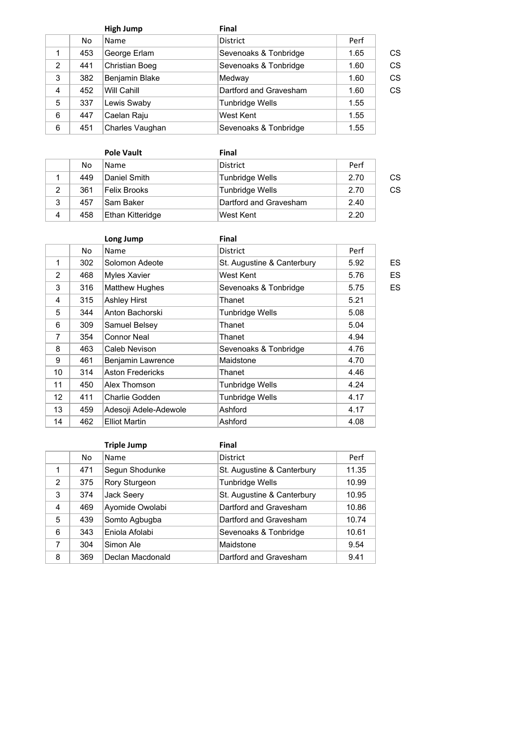|   |     | <b>High Jump</b>      | <b>Final</b>           |      |    |
|---|-----|-----------------------|------------------------|------|----|
|   | No. | Name                  | <b>District</b>        | Perf |    |
| 1 | 453 | George Erlam          | Sevenoaks & Tonbridge  | 1.65 | CS |
| 2 | 441 | <b>Christian Boeg</b> | Sevenoaks & Tonbridge  | 1.60 | CS |
| 3 | 382 | Benjamin Blake        | Medway                 | 1.60 | CS |
| 4 | 452 | Will Cahill           | Dartford and Gravesham | 1.60 | CS |
| 5 | 337 | Lewis Swaby           | <b>Tunbridge Wells</b> | 1.55 |    |
| 6 | 447 | Caelan Raju           | West Kent              | 1.55 |    |
| 6 | 451 | Charles Vaughan       | Sevenoaks & Tonbridge  | 1.55 |    |

|   |     | <b>Pole Vault</b>   | Final                  |      |    |
|---|-----|---------------------|------------------------|------|----|
|   | No  | Name                | <b>District</b>        | Perf |    |
|   | 449 | Daniel Smith        | <b>Tunbridge Wells</b> | 2.70 | CS |
| 2 | 361 | <b>Felix Brooks</b> | Tunbridge Wells        | 2.70 | CS |
| 3 | 457 | Sam Baker           | Dartford and Gravesham | 2.40 |    |
| 4 | 458 | Ethan Kitteridge    | West Kent              | 2.20 |    |

|             |     | Long Jump               | Final                      |      |    |
|-------------|-----|-------------------------|----------------------------|------|----|
|             | No  | Name                    | <b>District</b>            | Perf |    |
| $\mathbf 1$ | 302 | Solomon Adeote          | St. Augustine & Canterbury | 5.92 | ES |
| 2           | 468 | Myles Xavier            | West Kent                  | 5.76 | ES |
| 3           | 316 | <b>Matthew Hughes</b>   | Sevenoaks & Tonbridge      | 5.75 | ES |
| 4           | 315 | <b>Ashley Hirst</b>     | Thanet                     | 5.21 |    |
| 5           | 344 | Anton Bachorski         | <b>Tunbridge Wells</b>     | 5.08 |    |
| 6           | 309 | Samuel Belsey           | Thanet                     | 5.04 |    |
| 7           | 354 | Connor Neal             | Thanet                     | 4.94 |    |
| 8           | 463 | Caleb Nevison           | Sevenoaks & Tonbridge      | 4.76 |    |
| 9           | 461 | Benjamin Lawrence       | Maidstone                  | 4.70 |    |
| 10          | 314 | <b>Aston Fredericks</b> | Thanet                     | 4.46 |    |
| 11          | 450 | Alex Thomson            | <b>Tunbridge Wells</b>     | 4.24 |    |
| 12          | 411 | Charlie Godden          | <b>Tunbridge Wells</b>     | 4.17 |    |
| 13          | 459 | Adesoji Adele-Adewole   | Ashford                    | 4.17 |    |
| 14          | 462 | <b>Elliot Martin</b>    | Ashford                    | 4.08 |    |

|   |                   | <b>Triple Jump</b> | Final                      |       |
|---|-------------------|--------------------|----------------------------|-------|
|   | No                | Name               | <b>District</b>            | Perf  |
|   | 471               | Segun Shodunke     | St. Augustine & Canterbury | 11.35 |
| 2 | 375               | Rory Sturgeon      | <b>Tunbridge Wells</b>     | 10.99 |
| 3 | Jack Seery<br>374 |                    | St. Augustine & Canterbury | 10.95 |
| 4 | 469               | Ayomide Owolabi    | Dartford and Gravesham     | 10.86 |
| 5 | 439               | Somto Agbugba      | Dartford and Gravesham     | 10.74 |
| 6 | 343               | Eniola Afolabi     | Sevenoaks & Tonbridge      | 10.61 |
| 7 | 304               | Simon Ale          | Maidstone                  | 9.54  |
| 8 | 369               | Declan Macdonald   | Dartford and Gravesham     | 9.41  |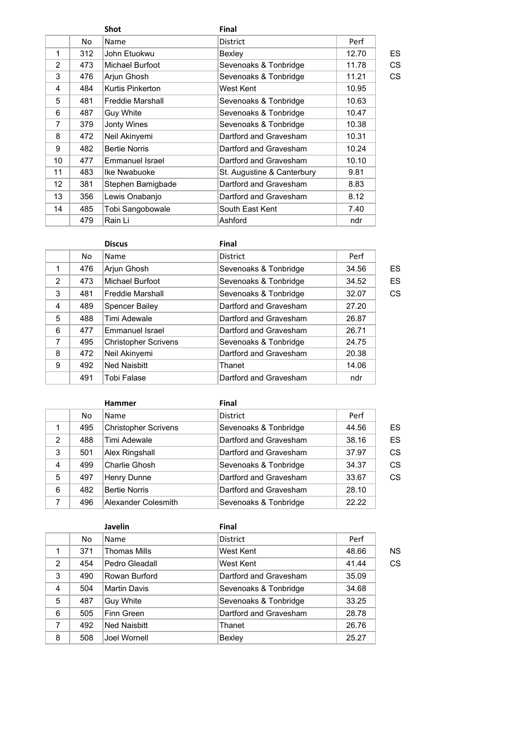|             |     | <b>Shot</b>             | Final                      |       |    |
|-------------|-----|-------------------------|----------------------------|-------|----|
|             | No  | Name                    | <b>District</b>            | Perf  |    |
| $\mathbf 1$ | 312 | John Etuokwu            | Bexley                     | 12.70 | ES |
| 2           | 473 | Michael Burfoot         | Sevenoaks & Tonbridge      | 11.78 | CS |
| 3           | 476 | Arjun Ghosh             | Sevenoaks & Tonbridge      | 11.21 | CS |
| 4           | 484 | Kurtis Pinkerton        | West Kent                  | 10.95 |    |
| 5           | 481 | <b>Freddie Marshall</b> | Sevenoaks & Tonbridge      | 10.63 |    |
| 6           | 487 | <b>Guy White</b>        | Sevenoaks & Tonbridge      | 10.47 |    |
| 7           | 379 | Jonty Wines             | Sevenoaks & Tonbridge      | 10.38 |    |
| 8           | 472 | Neil Akinyemi           | Dartford and Gravesham     | 10.31 |    |
| 9           | 482 | <b>Bertie Norris</b>    | Dartford and Gravesham     | 10.24 |    |
| 10          | 477 | Emmanuel Israel         | Dartford and Gravesham     | 10.10 |    |
| 11          | 483 | Ike Nwabuoke            | St. Augustine & Canterbury | 9.81  |    |
| 12          | 381 | Stephen Bamigbade       | Dartford and Gravesham     | 8.83  |    |
| 13          | 356 | Lewis Onabanjo          | Dartford and Gravesham     | 8.12  |    |
| 14          | 485 | Tobi Sangobowale        | South East Kent            | 7.40  |    |
|             | 479 | Rain Li                 | Ashford                    | ndr   |    |

|                |     | <b>Discus</b>               | Final                  |       |    |
|----------------|-----|-----------------------------|------------------------|-------|----|
|                | No. | Name                        | District               | Perf  |    |
| 1              | 476 | Arjun Ghosh                 | Sevenoaks & Tonbridge  | 34.56 | ES |
| $\overline{2}$ | 473 | Michael Burfoot             | Sevenoaks & Tonbridge  | 34.52 | ES |
| 3              | 481 | <b>Freddie Marshall</b>     | Sevenoaks & Tonbridge  | 32.07 | CS |
| 4              | 489 | <b>Spencer Bailey</b>       | Dartford and Gravesham | 27.20 |    |
| 5              | 488 | Timi Adewale                | Dartford and Gravesham | 26.87 |    |
| 6              | 477 | Emmanuel Israel             | Dartford and Gravesham | 26.71 |    |
| 7              | 495 | <b>Christopher Scrivens</b> | Sevenoaks & Tonbridge  | 24.75 |    |
| 8              | 472 | Neil Akinyemi               | Dartford and Gravesham | 20.38 |    |
| 9              | 492 | <b>Ned Naisbitt</b>         | Thanet                 | 14.06 |    |
|                | 491 | <b>Tobi Falase</b>          | Dartford and Gravesham | ndr   |    |

|   |     | <b>Hammer</b>               | Final                  |       |    |
|---|-----|-----------------------------|------------------------|-------|----|
|   | No. | <b>Name</b>                 | <b>District</b>        | Perf  |    |
|   | 495 | <b>Christopher Scrivens</b> | Sevenoaks & Tonbridge  | 44.56 | ES |
| 2 | 488 | Timi Adewale                | Dartford and Gravesham | 38.16 | ES |
| 3 | 501 | Alex Ringshall              | Dartford and Gravesham | 37.97 | CS |
| 4 | 499 | Charlie Ghosh               | Sevenoaks & Tonbridge  | 34.37 | CS |
| 5 | 497 | Henry Dunne                 | Dartford and Gravesham | 33.67 | CS |
| 6 | 482 | <b>Bertie Norris</b>        | Dartford and Gravesham | 28.10 |    |
| 7 | 496 | Alexander Colesmith         | Sevenoaks & Tonbridge  | 22.22 |    |

|                |     | <b>Javelin</b>      | <b>Final</b>           |       |    |
|----------------|-----|---------------------|------------------------|-------|----|
|                | No. | Name                | District               | Perf  |    |
| 1              | 371 | <b>Thomas Mills</b> | West Kent              | 48.66 | ΝS |
| $\overline{2}$ | 454 | Pedro Gleadall      | West Kent              | 41.44 | CS |
| 3              | 490 | Rowan Burford       | Dartford and Gravesham | 35.09 |    |
| 4              | 504 | <b>Martin Davis</b> | Sevenoaks & Tonbridge  | 34.68 |    |
| 5              | 487 | Guy White           | Sevenoaks & Tonbridge  | 33.25 |    |
| 6              | 505 | Finn Green          | Dartford and Gravesham | 28.78 |    |
| 7              | 492 | <b>Ned Naisbitt</b> | Thanet                 | 26.76 |    |
| 8              | 508 | Joel Wornell        | Bexley                 | 25.27 |    |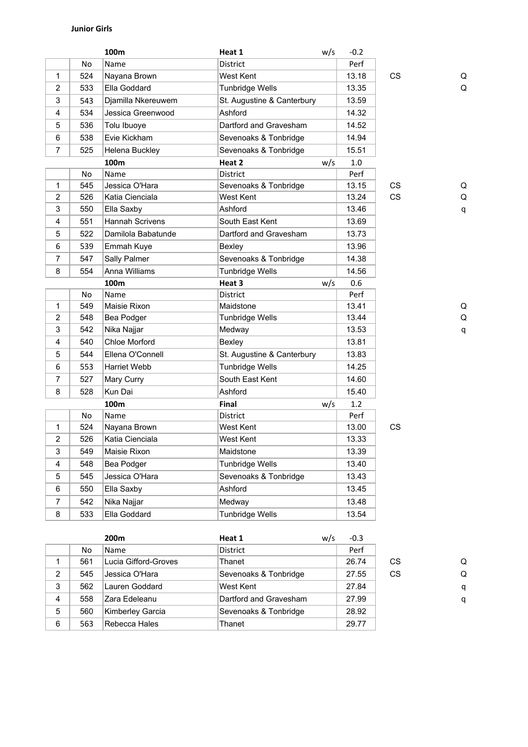|                |     | 100m               | Heat 1                     | w/s | $-0.2$ |           |   |
|----------------|-----|--------------------|----------------------------|-----|--------|-----------|---|
|                | No  | Name               | District                   |     | Perf   |           |   |
| $\mathbf{1}$   | 524 | Nayana Brown       | West Kent                  |     | 13.18  | <b>CS</b> | Q |
| $\overline{c}$ | 533 | Ella Goddard       | Tunbridge Wells            |     | 13.35  |           | Q |
| 3              | 543 | Djamilla Nkereuwem | St. Augustine & Canterbury |     | 13.59  |           |   |
| $\overline{4}$ | 534 | Jessica Greenwood  | Ashford                    |     | 14.32  |           |   |
| 5              | 536 | Tolu Ibuoye        | Dartford and Gravesham     |     | 14.52  |           |   |
| 6              | 538 | Evie Kickham       | Sevenoaks & Tonbridge      |     | 14.94  |           |   |
| $\overline{7}$ | 525 | Helena Buckley     | Sevenoaks & Tonbridge      |     | 15.51  |           |   |
|                |     | 100m               | Heat 2                     | w/s | 1.0    |           |   |
|                | No  | Name               | <b>District</b>            |     | Perf   |           |   |
| $\mathbf 1$    | 545 | Jessica O'Hara     | Sevenoaks & Tonbridge      |     | 13.15  | CS        | Q |
| $\overline{2}$ | 526 | Katia Cienciala    | West Kent                  |     | 13.24  | CS        | Q |
| 3              | 550 | Ella Saxby         | Ashford                    |     | 13.46  |           | q |
| $\overline{4}$ | 551 | Hannah Scrivens    | South East Kent            |     | 13.69  |           |   |
| 5              | 522 | Damilola Babatunde | Dartford and Gravesham     |     | 13.73  |           |   |
| 6              | 539 | Emmah Kuye         | Bexley                     |     | 13.96  |           |   |
| $\overline{7}$ | 547 | Sally Palmer       | Sevenoaks & Tonbridge      |     | 14.38  |           |   |
| 8              | 554 | Anna Williams      | Tunbridge Wells            |     | 14.56  |           |   |
|                |     | 100m               | Heat 3                     | w/s | 0.6    |           |   |
|                | No  | Name               | District                   |     | Perf   |           |   |
| $\mathbf{1}$   | 549 | Maisie Rixon       | Maidstone                  |     | 13.41  |           | Q |
| $\overline{2}$ | 548 | Bea Podger         | Tunbridge Wells            |     | 13.44  |           | Q |
| 3              | 542 | Nika Najjar        | Medway                     |     | 13.53  |           | q |
| 4              | 540 | Chloe Morford      | Bexley                     |     | 13.81  |           |   |
| 5              | 544 | Ellena O'Connell   | St. Augustine & Canterbury |     | 13.83  |           |   |
| 6              | 553 | Harriet Webb       | Tunbridge Wells            |     | 14.25  |           |   |
| $\overline{7}$ | 527 | Mary Curry         | South East Kent            |     | 14.60  |           |   |
| 8              | 528 | Kun Dai            | Ashford                    |     | 15.40  |           |   |
|                |     | 100m               | Final                      | w/s | 1.2    |           |   |
|                | No  | Name               | District                   |     | Perf   |           |   |
| 1              | 524 | Nayana Brown       | West Kent                  |     | 13.00  | CS        |   |
| 2              | 526 | Katia Cienciala    | West Kent                  |     | 13.33  |           |   |
| 3              | 549 | Maisie Rixon       | Maidstone                  |     | 13.39  |           |   |
| 4              | 548 | Bea Podger         | <b>Tunbridge Wells</b>     |     | 13.40  |           |   |
| 5              | 545 | Jessica O'Hara     | Sevenoaks & Tonbridge      |     | 13.43  |           |   |
| 6              | 550 | Ella Saxby         | Ashford                    |     | 13.45  |           |   |
| $\overline{7}$ | 542 | Nika Najjar        | Medway                     |     | 13.48  |           |   |
| 8              | 533 | Ella Goddard       | Tunbridge Wells            |     | 13.54  |           |   |

|   |     | 200 <sub>m</sub>     | Heat 1                 | w/s | $-0.3$ |           |   |
|---|-----|----------------------|------------------------|-----|--------|-----------|---|
|   | No. | <b>Name</b>          | <b>District</b>        |     | Perf   |           |   |
|   | 561 | Lucia Gifford-Groves | Thanet                 |     | 26.74  | CS        | Q |
| 2 | 545 | Jessica O'Hara       | Sevenoaks & Tonbridge  |     | 27.55  | <b>CS</b> | Q |
| 3 | 562 | Lauren Goddard       | West Kent              |     | 27.84  |           | q |
| 4 | 558 | Zara Edeleanu        | Dartford and Gravesham |     | 27.99  |           | q |
| 5 | 560 | Kimberley Garcia     | Sevenoaks & Tonbridge  |     | 28.92  |           |   |
| 6 | 563 | Rebecca Hales        | Thanet                 |     | 29.77  |           |   |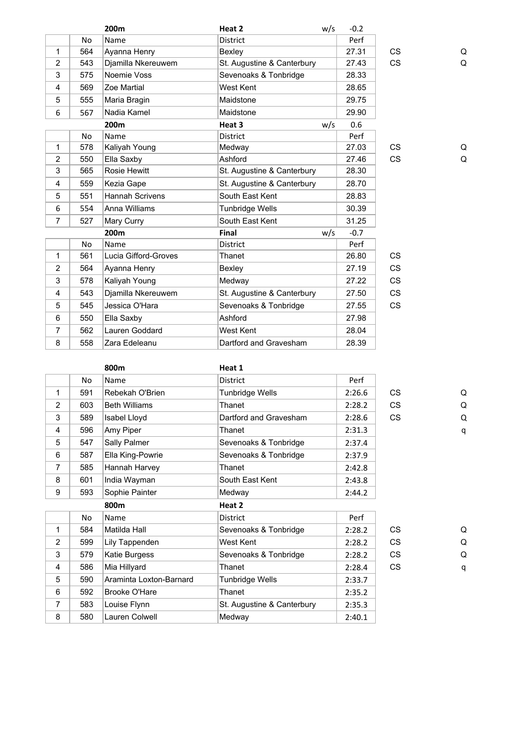|                |           | 200m                   | Heat 2                     | w/s | $-0.2$ |           |   |
|----------------|-----------|------------------------|----------------------------|-----|--------|-----------|---|
|                | <b>No</b> | Name                   | <b>District</b>            |     | Perf   |           |   |
| 1              | 564       | Ayanna Henry           | Bexley                     |     | 27.31  | <b>CS</b> | Q |
| $\overline{2}$ | 543       | Djamilla Nkereuwem     | St. Augustine & Canterbury |     | 27.43  | <b>CS</b> | Q |
| 3              | 575       | Noemie Voss            | Sevenoaks & Tonbridge      |     | 28.33  |           |   |
| 4              | 569       | Zoe Martial            | West Kent                  |     | 28.65  |           |   |
| 5              | 555       | Maria Bragin           | Maidstone                  |     | 29.75  |           |   |
| 6              | 567       | Nadia Kamel            | Maidstone                  |     | 29.90  |           |   |
|                |           | 200 <sub>m</sub>       | Heat 3                     | w/s | 0.6    |           |   |
|                | <b>No</b> | Name                   | District                   |     | Perf   |           |   |
| 1              | 578       | Kaliyah Young          | Medway                     |     | 27.03  | <b>CS</b> | Q |
| $\overline{2}$ | 550       | Ella Saxby             | Ashford                    |     | 27.46  | <b>CS</b> | Q |
| 3              | 565       | Rosie Hewitt           | St. Augustine & Canterbury |     | 28.30  |           |   |
| 4              | 559       | Kezia Gape             | St. Augustine & Canterbury |     | 28.70  |           |   |
| 5              | 551       | <b>Hannah Scrivens</b> | South East Kent            |     | 28.83  |           |   |
| 6              | 554       | Anna Williams          | <b>Tunbridge Wells</b>     |     | 30.39  |           |   |
| 7              | 527       | Mary Curry             | South East Kent            |     | 31.25  |           |   |
|                |           | 200m                   | Final                      | w/s | $-0.7$ |           |   |
|                | <b>No</b> | Name                   | District                   |     | Perf   |           |   |
| 1              | 561       | Lucia Gifford-Groves   | Thanet                     |     | 26.80  | <b>CS</b> |   |
| $\overline{2}$ | 564       | Ayanna Henry           | Bexley                     |     | 27.19  | <b>CS</b> |   |
| 3              | 578       | Kaliyah Young          | Medway                     |     | 27.22  | <b>CS</b> |   |
| 4              | 543       | Djamilla Nkereuwem     | St. Augustine & Canterbury |     | 27.50  | <b>CS</b> |   |
| 5              | 545       | Jessica O'Hara         | Sevenoaks & Tonbridge      |     | 27.55  | <b>CS</b> |   |
| 6              | 550       | Ella Saxby             | Ashford                    |     | 27.98  |           |   |
| 7              | 562       | Lauren Goddard         | West Kent                  |     | 28.04  |           |   |
| 8              | 558       | Zara Edeleanu          | Dartford and Gravesham     |     | 28.39  |           |   |
|                |           |                        |                            |     |        |           |   |

| l |
|---|
| ( |
| ( |
|   |

|                | No  | Name                    | <b>District</b>        | Perf   |           |   |
|----------------|-----|-------------------------|------------------------|--------|-----------|---|
| 1              | 591 | Rebekah O'Brien         | <b>Tunbridge Wells</b> | 2:26.6 | CS.       | Q |
| $\overline{2}$ | 603 | <b>Beth Williams</b>    | Thanet                 | 2:28.2 | <b>CS</b> | Q |
| 3              | 589 | Isabel Lloyd            | Dartford and Gravesham | 2:28.6 | CS        | Q |
| 4              | 596 | Amy Piper               | Thanet                 | 2:31.3 |           | q |
| 5              | 547 | Sally Palmer            | Sevenoaks & Tonbridge  | 2:37.4 |           |   |
| 6              | 587 | Ella King-Powrie        | Sevenoaks & Tonbridge  | 2:37.9 |           |   |
| 7              | 585 | Hannah Harvey           | Thanet                 | 2:42.8 |           |   |
| 8              | 601 | India Wayman            | South East Kent        | 2:43.8 |           |   |
| 9              | 593 | Sophie Painter          | Medway                 | 2:44.2 |           |   |
|                |     | 800m                    | Heat 2                 |        |           |   |
|                | No  | Name                    | <b>District</b>        | Perf   |           |   |
| 1              | 584 | Matilda Hall            | Sevenoaks & Tonbridge  | 2:28.2 | <b>CS</b> | Q |
| $\overline{2}$ | 599 | Lily Tappenden          | West Kent              | 2:28.2 | CS        | Q |
| 3              | 579 | Katie Burgess           | Sevenoaks & Tonbridge  | 2:28.2 | <b>CS</b> | Q |
| 4              | 586 | Mia Hillyard            | Thanet                 | 2:28.4 | CS        | q |
| 5              | 590 | Araminta Loxton-Barnard | Tunbridge Wells        | 2:33.7 |           |   |
| 6              | 592 | <b>Brooke O'Hare</b>    | Thanet                 | 2:35.2 |           |   |

7 583 Louise Flynn St. Augustine & Canterbury 2:35.3 8 580 Lauren Colwell Medway 12:40.1

**800m Heat 1**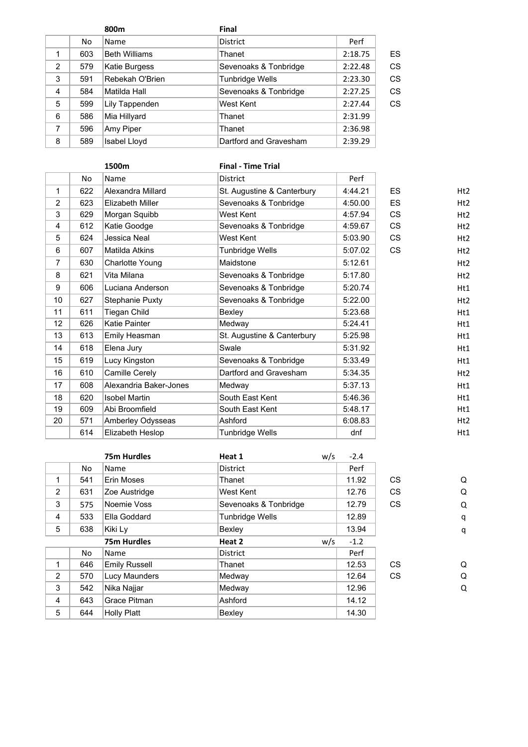|                |     | 800m                 | <b>Final</b>           |         |    |
|----------------|-----|----------------------|------------------------|---------|----|
|                | No. | Name                 | District               | Perf    |    |
|                | 603 | <b>Beth Williams</b> | Thanet                 | 2:18.75 | ES |
| $\overline{2}$ | 579 | Katie Burgess        | Sevenoaks & Tonbridge  | 2:22.48 | CS |
| 3              | 591 | Rebekah O'Brien      | <b>Tunbridge Wells</b> | 2:23.30 | CS |
| 4              | 584 | Matilda Hall         | Sevenoaks & Tonbridge  | 2:27.25 | CS |
| 5              | 599 | Lily Tappenden       | West Kent              | 2:27.44 | CS |
| 6              | 586 | Mia Hillyard         | Thanet                 | 2:31.99 |    |
| 7              | 596 | Amy Piper            | Thanet                 | 2:36.98 |    |
| 8              | 589 | Isabel Lloyd         | Dartford and Gravesham | 2:39.29 |    |

| 1500m          |     |                        | <b>Final - Time Trial</b>  |         |           |                 |
|----------------|-----|------------------------|----------------------------|---------|-----------|-----------------|
|                | No  | Name                   | <b>District</b>            | Perf    |           |                 |
| 1              | 622 | Alexandra Millard      | St. Augustine & Canterbury | 4:44.21 | <b>ES</b> | Ht2             |
| $\overline{2}$ | 623 | Elizabeth Miller       | Sevenoaks & Tonbridge      | 4:50.00 | <b>ES</b> | Ht2             |
| 3              | 629 | Morgan Squibb          | West Kent                  | 4:57.94 | <b>CS</b> | H <sub>t2</sub> |
| 4              | 612 | Katie Goodge           | Sevenoaks & Tonbridge      | 4:59.67 | <b>CS</b> | Ht2             |
| 5              | 624 | Jessica Neal           | West Kent                  | 5:03.90 | <b>CS</b> | H <sub>t2</sub> |
| 6              | 607 | <b>Matilda Atkins</b>  | Tunbridge Wells            | 5:07.02 | <b>CS</b> | H <sub>t2</sub> |
| 7              | 630 | Charlotte Young        | Maidstone                  | 5:12.61 |           | H <sub>t2</sub> |
| 8              | 621 | Vita Milana            | Sevenoaks & Tonbridge      | 5:17.80 |           | H <sub>t2</sub> |
| 9              | 606 | Luciana Anderson       | Sevenoaks & Tonbridge      | 5:20.74 |           | Ht1             |
| 10             | 627 | Stephanie Puxty        | Sevenoaks & Tonbridge      | 5:22.00 |           | Ht2             |
| 11             | 611 | Tiegan Child           | Bexley                     | 5:23.68 |           | Ht1             |
| 12             | 626 | Katie Painter          | Medway                     | 5:24.41 |           | Ht1             |
| 13             | 613 | Emily Heasman          | St. Augustine & Canterbury | 5:25.98 |           | Ht1             |
| 14             | 618 | Elena Jury             | Swale                      | 5:31.92 |           | Ht1             |
| 15             | 619 | Lucy Kingston          | Sevenoaks & Tonbridge      | 5:33.49 |           | Ht1             |
| 16             | 610 | Camille Cerely         | Dartford and Gravesham     | 5:34.35 |           | H <sub>t2</sub> |
| 17             | 608 | Alexandria Baker-Jones | Medway                     | 5:37.13 |           | Ht1             |
| 18             | 620 | <b>Isobel Martin</b>   | South East Kent            | 5:46.36 |           | Ht1             |
| 19             | 609 | Abi Broomfield         | South East Kent            | 5:48.17 |           | Ht1             |
| 20             | 571 | Amberley Odysseas      | Ashford                    | 6:08.83 |           | Ht2             |
|                | 614 | Elizabeth Heslop       | Tunbridge Wells            | dnf     |           | Ht1             |
|                |     |                        |                            |         |           |                 |

|     | <b>75m Hurdles</b>   | Heat 1                 | $-2.4$     |           |   |
|-----|----------------------|------------------------|------------|-----------|---|
| No  | Name                 | <b>District</b>        | Perf       |           |   |
| 541 | Erin Moses           | Thanet                 | 11.92      | CS.       | Q |
| 631 | Zoe Austridge        | West Kent              | 12.76      | <b>CS</b> | Q |
| 575 | Noemie Voss          | Sevenoaks & Tonbridge  | 12.79      | <b>CS</b> | Q |
| 533 | Ella Goddard         | <b>Tunbridge Wells</b> | 12.89      |           | q |
| 638 | Kiki Ly              | Bexley                 | 13.94      |           | q |
|     | <b>75m Hurdles</b>   | Heat 2                 | $-1.2$     |           |   |
| No  | Name                 | <b>District</b>        | Perf       |           |   |
| 646 | <b>Emily Russell</b> | Thanet                 | 12.53      | CS.       | Q |
| 570 | Lucy Maunders        | Medway                 | 12.64      | <b>CS</b> | Q |
| 542 | Nika Najjar          | Medway                 | 12.96      |           | Q |
| 643 | Grace Pitman         | Ashford                | 14.12      |           |   |
|     |                      | Bexley                 | 14.30      |           |   |
|     |                      | Holly Platt<br>644     | w/s<br>w/s |           |   |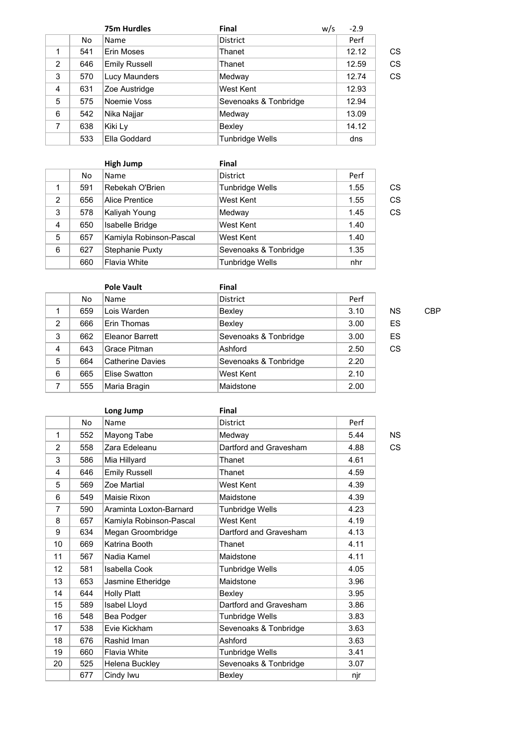|                |     | <b>75m Hurdles</b>   | <b>Final</b>           | w/s | $-2.9$ |    |
|----------------|-----|----------------------|------------------------|-----|--------|----|
|                | No  | <b>Name</b>          | <b>District</b>        |     | Perf   |    |
|                | 541 | Erin Moses           | Thanet                 |     | 12.12  | CS |
| $\overline{2}$ | 646 | <b>Emily Russell</b> | Thanet                 |     | 12.59  | CS |
| 3              | 570 | Lucy Maunders        | Medway                 |     | 12.74  | CS |
| 4              | 631 | Zoe Austridge        | West Kent              |     | 12.93  |    |
| 5              | 575 | Noemie Voss          | Sevenoaks & Tonbridge  |     | 12.94  |    |
| 6              | 542 | Nika Najjar          | Medway                 |     | 13.09  |    |
| 7              | 638 | Kiki Ly              | Bexley                 |     | 14.12  |    |
|                | 533 | Ella Goddard         | <b>Tunbridge Wells</b> |     | dns    |    |

|   |     | <b>High Jump</b>        | <b>Final</b>          |      |    |
|---|-----|-------------------------|-----------------------|------|----|
|   | No. | Name                    | <b>District</b>       | Perf |    |
|   | 591 | Rebekah O'Brien         | Tunbridge Wells       | 1.55 | СS |
| 2 | 656 | Alice Prentice          | West Kent             | 1.55 | CS |
| 3 | 578 | Kaliyah Young           | Medway                | 1.45 | CS |
| 4 | 650 | Isabelle Bridge         | West Kent             | 1.40 |    |
| 5 | 657 | Kamiyla Robinson-Pascal | West Kent             | 1.40 |    |
| 6 | 627 | Stephanie Puxty         | Sevenoaks & Tonbridge | 1.35 |    |
|   | 660 | <b>Flavia White</b>     | Tunbridge Wells       | nhr  |    |

|   |     | <b>Pole Vault</b>       | <b>Final</b>          |      |           |            |
|---|-----|-------------------------|-----------------------|------|-----------|------------|
|   | No. | Name                    | <b>District</b>       | Perf |           |            |
| 1 | 659 | Lois Warden             | Bexley                | 3.10 | <b>NS</b> | <b>CBP</b> |
| 2 | 666 | Erin Thomas             | Bexley                | 3.00 | ES        |            |
| 3 | 662 | Eleanor Barrett         | Sevenoaks & Tonbridge | 3.00 | ES        |            |
| 4 | 643 | Grace Pitman            | Ashford               | 2.50 | CS        |            |
| 5 | 664 | <b>Catherine Davies</b> | Sevenoaks & Tonbridge | 2.20 |           |            |
| 6 | 665 | Elise Swatton           | West Kent             | 2.10 |           |            |
| 7 | 555 | Maria Bragin            | Maidstone             | 2.00 |           |            |

| ٦<br>I<br>×<br>۰. |
|-------------------|
|                   |
|                   |

|    |           | Long Jump               | <b>Final</b>           |      |           |
|----|-----------|-------------------------|------------------------|------|-----------|
|    | <b>No</b> | Name                    | <b>District</b>        | Perf |           |
| 1  | 552       | Mayong Tabe             | Medway                 | 5.44 | <b>NS</b> |
| 2  | 558       | Zara Edeleanu           | Dartford and Gravesham | 4.88 | CS        |
| 3  | 586       | Mia Hillyard            | Thanet                 | 4.61 |           |
| 4  | 646       | <b>Emily Russell</b>    | Thanet                 | 4.59 |           |
| 5  | 569       | Zoe Martial             | West Kent              | 4.39 |           |
| 6  | 549       | Maisie Rixon            | Maidstone              | 4.39 |           |
| 7  | 590       | Araminta Loxton-Barnard | <b>Tunbridge Wells</b> | 4.23 |           |
| 8  | 657       | Kamiyla Robinson-Pascal | West Kent              | 4.19 |           |
| 9  | 634       | Megan Groombridge       | Dartford and Gravesham | 4.13 |           |
| 10 | 669       | Katrina Booth           | Thanet                 | 4.11 |           |
| 11 | 567       | Nadia Kamel             | Maidstone              | 4.11 |           |
| 12 | 581       | Isabella Cook           | <b>Tunbridge Wells</b> | 4.05 |           |
| 13 | 653       | Jasmine Etheridge       | Maidstone              | 3.96 |           |
| 14 | 644       | <b>Holly Platt</b>      | Bexley                 | 3.95 |           |
| 15 | 589       | Isabel Lloyd            | Dartford and Gravesham | 3.86 |           |
| 16 | 548       | Bea Podger              | <b>Tunbridge Wells</b> | 3.83 |           |
| 17 | 538       | Evie Kickham            | Sevenoaks & Tonbridge  | 3.63 |           |
| 18 | 676       | Rashid Iman             | Ashford                | 3.63 |           |
| 19 | 660       | <b>Flavia White</b>     | <b>Tunbridge Wells</b> | 3.41 |           |
| 20 | 525       | Helena Buckley          | Sevenoaks & Tonbridge  | 3.07 |           |
|    | 677       | Cindy Iwu               | Bexley                 | njr  |           |